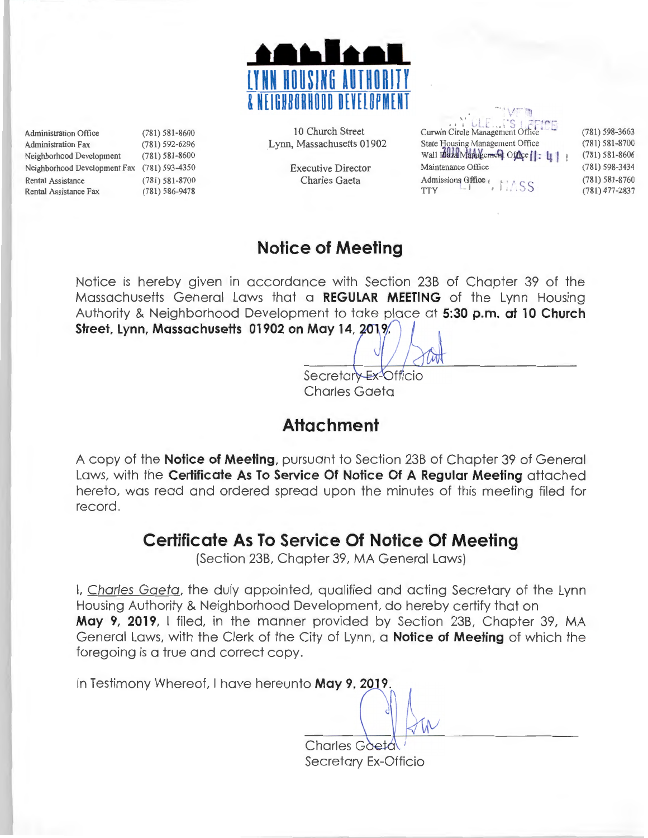

Administration Office (781) 581-8600 Administration Fax (781) 592-6296 Neighborhood Development (781) 581-8600 Neighborhood Development Fax (781) 593-4350 Rental Assistance (781) 581-8700<br>Rental Assistance Fax (781) 586-9478 Rental Assistance Fax

10 Church Street Lynn, Massachusetts 01902

> Executive Director Charles Gaeta

| 1347<br>Curwin Circle Management Office<br>State Housing Management Office<br>Wall Eddza Markelement Office   : 41<br>Maintenance Office |  |
|------------------------------------------------------------------------------------------------------------------------------------------|--|
| Admissions Office<br>$\bigcup$ SS<br><b>TTY</b>                                                                                          |  |

(781) 581-8700 (781) 581-8606 (781) 598-3434 (781) 581-8760 (78 1) 477-2837

(781) 598-3663

### **Notice of Meeting**

Notice is hereby given in accordance with Section 238 of Chapter 39 of the Massachusetts General Laws that a **REGULAR MEETING** of the Lynn Housing Authority & Neighborhood Development to take place at **5:30 p.m. at 10 Church**  Street, Lynn, Massachusetts 01902 on May 14, 2019.

> Secretar - Ex-Officio Charles Gaeta

## **Attachment**

A copy of the **Notice of Meeting,** pursuant to Section 238 of Chapter 39 of General Laws, with the **Certificate As To Service Of Notice Of A Regular Meeting** attached hereto, was read and ordered spread upon the minutes of this meeting filed for record.

## **Certificate As To Service Of Notice Of Meeting**

(Section 238, Chapter 39, MA General Laws)

I, Charles Gaeta, the duly appointed, qualified and acting Secretary of the Lynn Housing Authority & Neighborhood Development, do hereby certify that on **May 9, 2019,** I filed, in the manner provided by Section 238, Chapter 39, MA General Laws, with the Clerk of the City of Lynn, a **Notice of Meeting** of which the foregoing is a true and correct copy.

In Testimony Whereof, I have hereunto May 9, 2019

 $\frac{1}{\sqrt{N}}$ Secretary Ex-Officio

 $\breve{\phantom{0}}$ 

 $\frac{1}{2}$